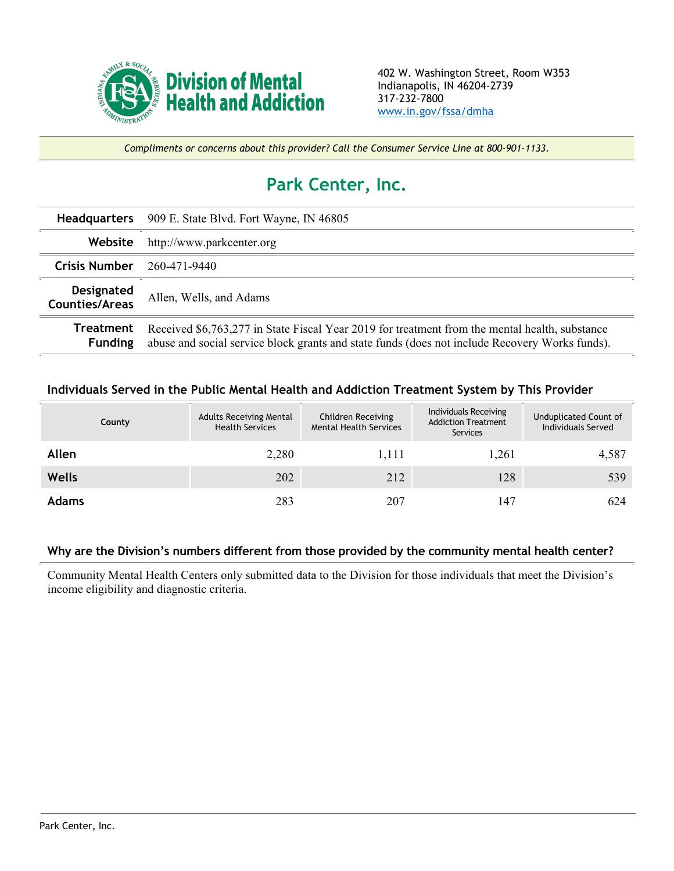

*Compliments or concerns about this provider? Call the Consumer Service Line at 800-901-1133.*

## **Park Center, Inc.**

|                                     | <b>Headquarters</b> 909 E. State Blvd. Fort Wayne, IN 46805                                                                                                                                      |  |  |  |
|-------------------------------------|--------------------------------------------------------------------------------------------------------------------------------------------------------------------------------------------------|--|--|--|
| Website                             | http://www.parkcenter.org                                                                                                                                                                        |  |  |  |
| <b>Crisis Number</b>                | 260-471-9440                                                                                                                                                                                     |  |  |  |
| Designated<br><b>Counties/Areas</b> | Allen, Wells, and Adams                                                                                                                                                                          |  |  |  |
| Treatment<br><b>Funding</b>         | Received \$6,763,277 in State Fiscal Year 2019 for treatment from the mental health, substance<br>abuse and social service block grants and state funds (does not include Recovery Works funds). |  |  |  |

## **Individuals Served in the Public Mental Health and Addiction Treatment System by This Provider**

| County       | <b>Adults Receiving Mental</b><br><b>Health Services</b> | Children Receiving<br><b>Mental Health Services</b> | Individuals Receiving<br><b>Addiction Treatment</b><br>Services | Unduplicated Count of<br>Individuals Served |
|--------------|----------------------------------------------------------|-----------------------------------------------------|-----------------------------------------------------------------|---------------------------------------------|
| Allen        | 2,280                                                    | 1,111                                               | 1,261                                                           | 4,587                                       |
| <b>Wells</b> | 202                                                      | 212                                                 | 128                                                             | 539                                         |
| <b>Adams</b> | 283                                                      | 207                                                 | 147                                                             | 624                                         |

## **Why are the Division's numbers different from those provided by the community mental health center?**

Community Mental Health Centers only submitted data to the Division for those individuals that meet the Division's income eligibility and diagnostic criteria.